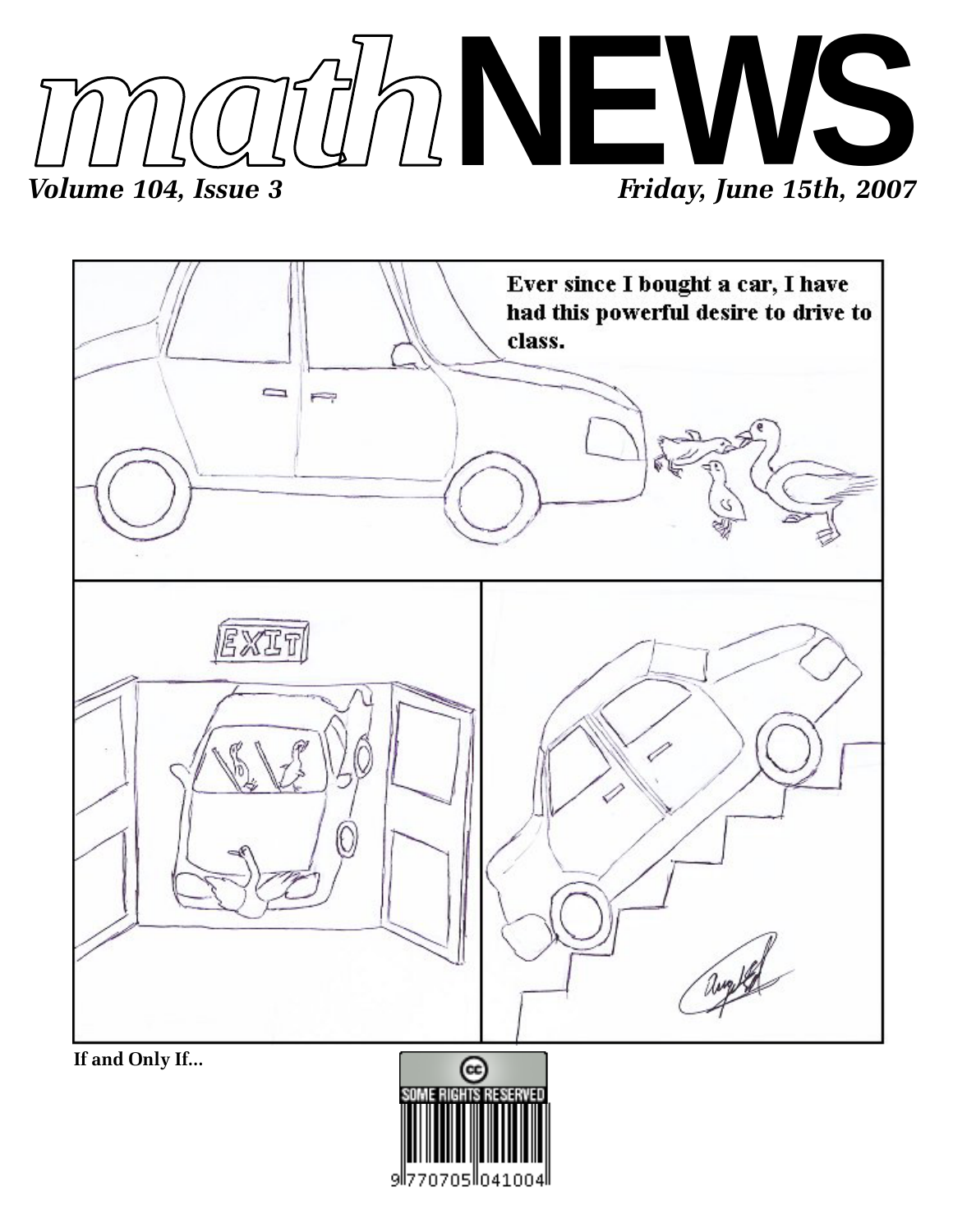



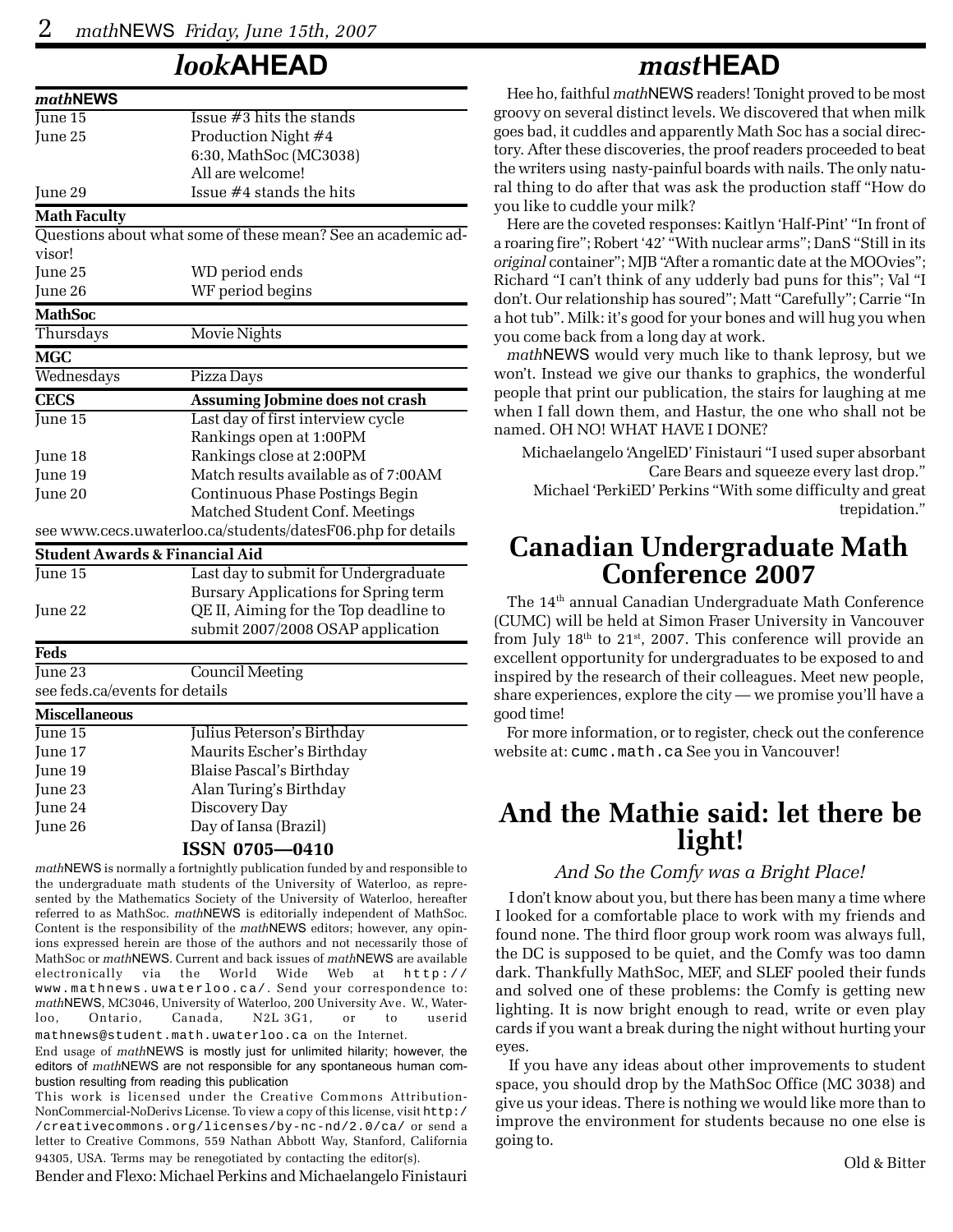## *look***AHEAD**

| mathNEWS                       |                                                              |  |  |  |  |  |  |
|--------------------------------|--------------------------------------------------------------|--|--|--|--|--|--|
| June 15                        | Issue $#3$ hits the stands                                   |  |  |  |  |  |  |
| June 25                        | Production Night #4                                          |  |  |  |  |  |  |
|                                | 6:30, MathSoc (MC3038)                                       |  |  |  |  |  |  |
|                                | All are welcome!                                             |  |  |  |  |  |  |
| June 29                        | Issue #4 stands the hits                                     |  |  |  |  |  |  |
| <b>Math Faculty</b>            |                                                              |  |  |  |  |  |  |
|                                | Questions about what some of these mean? See an academic ad- |  |  |  |  |  |  |
| visor!                         |                                                              |  |  |  |  |  |  |
| June 25                        | WD period ends                                               |  |  |  |  |  |  |
| June 26                        | WF period begins                                             |  |  |  |  |  |  |
| <b>MathSoc</b>                 |                                                              |  |  |  |  |  |  |
| Thursdays                      | Movie Nights                                                 |  |  |  |  |  |  |
| <b>MGC</b>                     |                                                              |  |  |  |  |  |  |
| Wednesdays                     | Pizza Days                                                   |  |  |  |  |  |  |
| <b>CECS</b>                    | Assuming Jobmine does not crash                              |  |  |  |  |  |  |
| $\overline{\text{June 15}}$    | Last day of first interview cycle                            |  |  |  |  |  |  |
|                                | Rankings open at 1:00PM                                      |  |  |  |  |  |  |
| June 18                        | Rankings close at 2:00PM                                     |  |  |  |  |  |  |
| June 19                        | Match results available as of 7:00AM                         |  |  |  |  |  |  |
| June 20                        | Continuous Phase Postings Begin                              |  |  |  |  |  |  |
|                                | Matched Student Conf. Meetings                               |  |  |  |  |  |  |
|                                | see www.cecs.uwaterloo.ca/students/datesF06.php for details  |  |  |  |  |  |  |
|                                | <b>Student Awards &amp; Financial Aid</b>                    |  |  |  |  |  |  |
| June 15                        | Last day to submit for Undergraduate                         |  |  |  |  |  |  |
|                                | Bursary Applications for Spring term                         |  |  |  |  |  |  |
| June 22                        | QE II, Aiming for the Top deadline to                        |  |  |  |  |  |  |
|                                | submit 2007/2008 OSAP application                            |  |  |  |  |  |  |
| Feds                           |                                                              |  |  |  |  |  |  |
| $\overline{\rm June~23}$       | <b>Council Meeting</b>                                       |  |  |  |  |  |  |
| see feds.ca/events for details |                                                              |  |  |  |  |  |  |
| <b>Miscellaneous</b>           |                                                              |  |  |  |  |  |  |
| June 15                        | Julius Peterson's Birthday                                   |  |  |  |  |  |  |
| June 17                        | Maurits Escher's Birthday                                    |  |  |  |  |  |  |
| June 19                        | Blaise Pascal's Birthday                                     |  |  |  |  |  |  |
| June 23                        | Alan Turing's Birthday                                       |  |  |  |  |  |  |
| June 24                        | Discovery Dav                                                |  |  |  |  |  |  |

June 26 Day of Iansa (Brazil)

### **ISSN 0705—0410**

*math*NEWS is normally a fortnightly publication funded by and responsible to the undergraduate math students of the University of Waterloo, as represented by the Mathematics Society of the University of Waterloo, hereafter referred to as MathSoc. *math*NEWS is editorially independent of MathSoc. Content is the responsibility of the *math*NEWS editors; however, any opinions expressed herein are those of the authors and not necessarily those of MathSoc or *math*NEWS. Current and back issues of *math*NEWS are available electronically via the World Wide Web at http:// www.mathnews.uwaterloo.ca/. Send your correspondence to: *math*NEWS, MC3046, University of Waterloo, 200 University Ave. W., Waterloo, Ontario, Canada, N2L 3G1, or to userid mathnews@student.math.uwaterloo.ca on the Internet.

End usage of *math*NEWS is mostly just for unlimited hilarity; however, the editors of *math*NEWS are not responsible for any spontaneous human combustion resulting from reading this publication

This work is licensed under the Creative Commons Attribution-NonCommercial-NoDerivs License. To view a copy of this license, visit http:/ /creativecommons.org/licenses/by-nc-nd/2.0/ca/ or send a letter to Creative Commons, 559 Nathan Abbott Way, Stanford, California 94305, USA. Terms may be renegotiated by contacting the editor(s).

Bender and Flexo: Michael Perkins and Michaelangelo Finistauri

## *mast***HEAD**

Hee ho, faithful *math*NEWS readers! Tonight proved to be most groovy on several distinct levels. We discovered that when milk goes bad, it cuddles and apparently Math Soc has a social directory. After these discoveries, the proof readers proceeded to beat the writers using nasty-painful boards with nails. The only natural thing to do after that was ask the production staff "How do you like to cuddle your milk?

Here are the coveted responses: Kaitlyn 'Half-Pint' "In front of a roaring fire"; Robert '42' "With nuclear arms"; DanS "Still in its *original* container"; MJB "After a romantic date at the MOOvies"; Richard "I can't think of any udderly bad puns for this"; Val "I don't. Our relationship has soured"; Matt "Carefully"; Carrie "In a hot tub". Milk: it's good for your bones and will hug you when you come back from a long day at work.

*math*NEWS would very much like to thank leprosy, but we won't. Instead we give our thanks to graphics, the wonderful people that print our publication, the stairs for laughing at me when I fall down them, and Hastur, the one who shall not be named. OH NO! WHAT HAVE I DONE?

Michaelangelo 'AngelED' Finistauri "I used super absorbant Care Bears and squeeze every last drop." Michael 'PerkiED' Perkins "With some difficulty and great trepidation."

# **Canadian Undergraduate Math Conference 2007**

The 14<sup>th</sup> annual Canadian Undergraduate Math Conference (CUMC) will be held at Simon Fraser University in Vancouver from July  $18<sup>th</sup>$  to  $21<sup>st</sup>$ , 2007. This conference will provide an excellent opportunity for undergraduates to be exposed to and inspired by the research of their colleagues. Meet new people, share experiences, explore the city — we promise you'll have a good time!

For more information, or to register, check out the conference website at: cumc.math.ca See you in Vancouver!

## **And the Mathie said: let there be light!**

### *And So the Comfy was a Bright Place!*

I don't know about you, but there has been many a time where I looked for a comfortable place to work with my friends and found none. The third floor group work room was always full, the DC is supposed to be quiet, and the Comfy was too damn dark. Thankfully MathSoc, MEF, and SLEF pooled their funds and solved one of these problems: the Comfy is getting new lighting. It is now bright enough to read, write or even play cards if you want a break during the night without hurting your eyes.

If you have any ideas about other improvements to student space, you should drop by the MathSoc Office (MC 3038) and give us your ideas. There is nothing we would like more than to improve the environment for students because no one else is going to.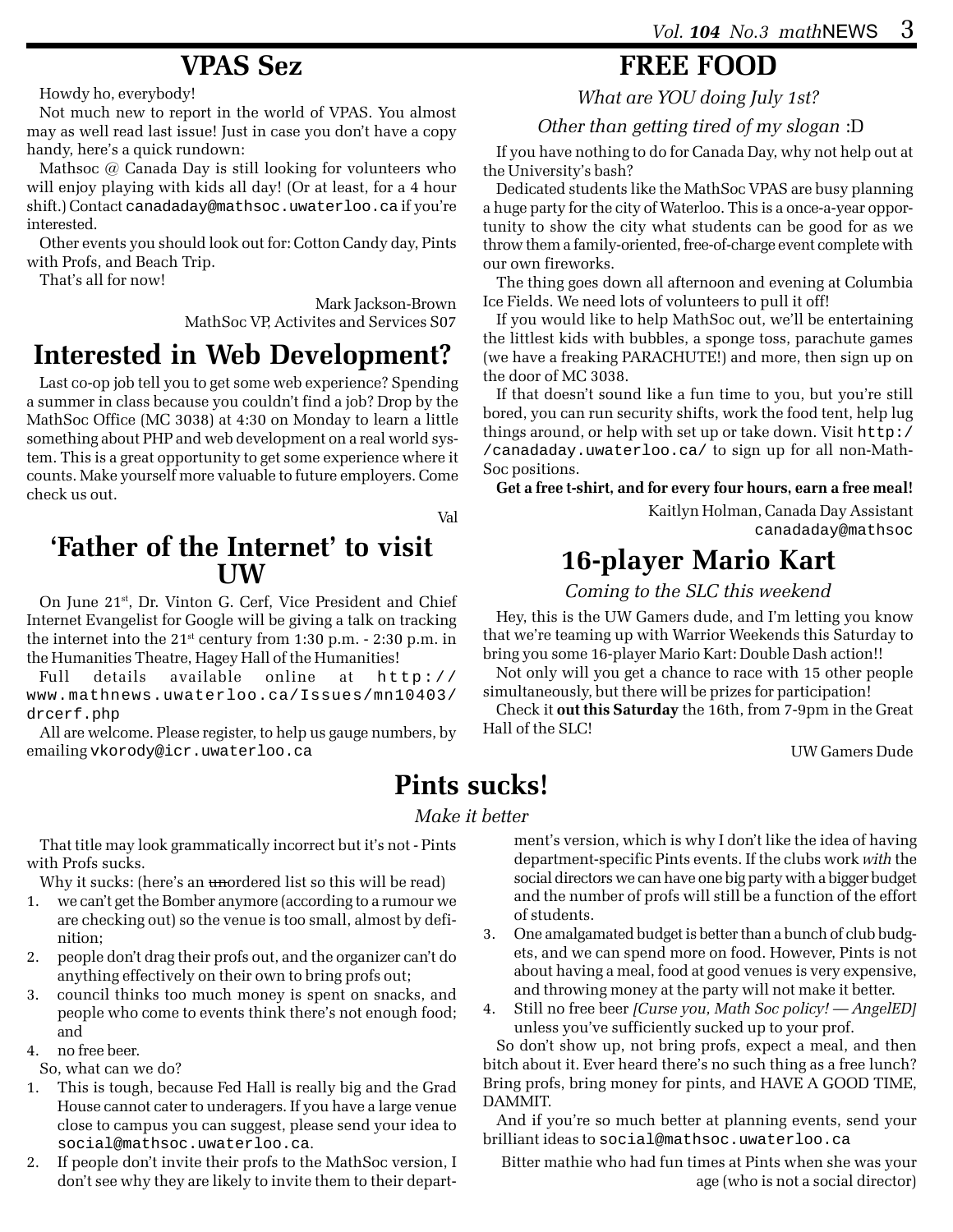## **VPAS Sez**

Howdy ho, everybody!

Not much new to report in the world of VPAS. You almost may as well read last issue! Just in case you don't have a copy handy, here's a quick rundown:

Mathsoc @ Canada Day is still looking for volunteers who will enjoy playing with kids all day! (Or at least, for a 4 hour shift.) Contact canadaday@mathsoc.uwaterloo.ca if you're interested.

Other events you should look out for: Cotton Candy day, Pints with Profs, and Beach Trip.

That's all for now!

Mark Jackson-Brown MathSoc VP, Activites and Services S07

# **Interested in Web Development?**

Last co-op job tell you to get some web experience? Spending a summer in class because you couldn't find a job? Drop by the MathSoc Office (MC 3038) at 4:30 on Monday to learn a little something about PHP and web development on a real world system. This is a great opportunity to get some experience where it counts. Make yourself more valuable to future employers. Come check us out.

Val

## **'Father of the Internet' to visit UW**

On June 21st, Dr. Vinton G. Cerf, Vice President and Chief Internet Evangelist for Google will be giving a talk on tracking the internet into the 21st century from 1:30 p.m. - 2:30 p.m. in the Humanities Theatre, Hagey Hall of the Humanities!

Full details available online at http:// www.mathnews.uwaterloo.ca/Issues/mn10403/ drcerf.php

All are welcome. Please register, to help us gauge numbers, by emailing vkorody@icr.uwaterloo.ca

## **FREE FOOD**

*What are YOU doing July 1st?*

## *Other than getting tired of my slogan* :D

If you have nothing to do for Canada Day, why not help out at the University's bash?

Dedicated students like the MathSoc VPAS are busy planning a huge party for the city of Waterloo. This is a once-a-year opportunity to show the city what students can be good for as we throw them a family-oriented, free-of-charge event complete with our own fireworks.

The thing goes down all afternoon and evening at Columbia Ice Fields. We need lots of volunteers to pull it off!

If you would like to help MathSoc out, we'll be entertaining the littlest kids with bubbles, a sponge toss, parachute games (we have a freaking PARACHUTE!) and more, then sign up on the door of MC 3038.

If that doesn't sound like a fun time to you, but you're still bored, you can run security shifts, work the food tent, help lug things around, or help with set up or take down. Visit http:/ /canadaday.uwaterloo.ca/ to sign up for all non-Math-Soc positions.

**Get a free t-shirt, and for every four hours, earn a free meal!**

Kaitlyn Holman, Canada Day Assistant canadaday@mathsoc

## **16-player Mario Kart**

*Coming to the SLC this weekend*

Hey, this is the UW Gamers dude, and I'm letting you know that we're teaming up with Warrior Weekends this Saturday to bring you some 16-player Mario Kart: Double Dash action!!

Not only will you get a chance to race with 15 other people simultaneously, but there will be prizes for participation!

Check it **out this Saturday** the 16th, from 7-9pm in the Great Hall of the SLC!

UW Gamers Dude

# **Pints sucks!**

### *Make it better*

That title may look grammatically incorrect but it's not - Pints with Profs sucks.

Why it sucks: (here's an unordered list so this will be read)

- 1. we can't get the Bomber anymore (according to a rumour we are checking out) so the venue is too small, almost by definition;
- 2. people don't drag their profs out, and the organizer can't do anything effectively on their own to bring profs out;
- 3. council thinks too much money is spent on snacks, and people who come to events think there's not enough food; and
- 4. no free beer.

So, what can we do?

- 1. This is tough, because Fed Hall is really big and the Grad House cannot cater to underagers. If you have a large venue close to campus you can suggest, please send your idea to social@mathsoc.uwaterloo.ca.
- 2. If people don't invite their profs to the MathSoc version, I don't see why they are likely to invite them to their depart-

ment's version, which is why I don't like the idea of having department-specific Pints events. If the clubs work *with* the social directors we can have one big party with a bigger budget and the number of profs will still be a function of the effort of students.

- 3. One amalgamated budget is better than a bunch of club budgets, and we can spend more on food. However, Pints is not about having a meal, food at good venues is very expensive, and throwing money at the party will not make it better.
- 4. Still no free beer *[Curse you, Math Soc policy! AngelED]* unless you've sufficiently sucked up to your prof.

So don't show up, not bring profs, expect a meal, and then bitch about it. Ever heard there's no such thing as a free lunch? Bring profs, bring money for pints, and HAVE A GOOD TIME, DAMMIT.

And if you're so much better at planning events, send your brilliant ideas to social@mathsoc.uwaterloo.ca

Bitter mathie who had fun times at Pints when she was your age (who is not a social director)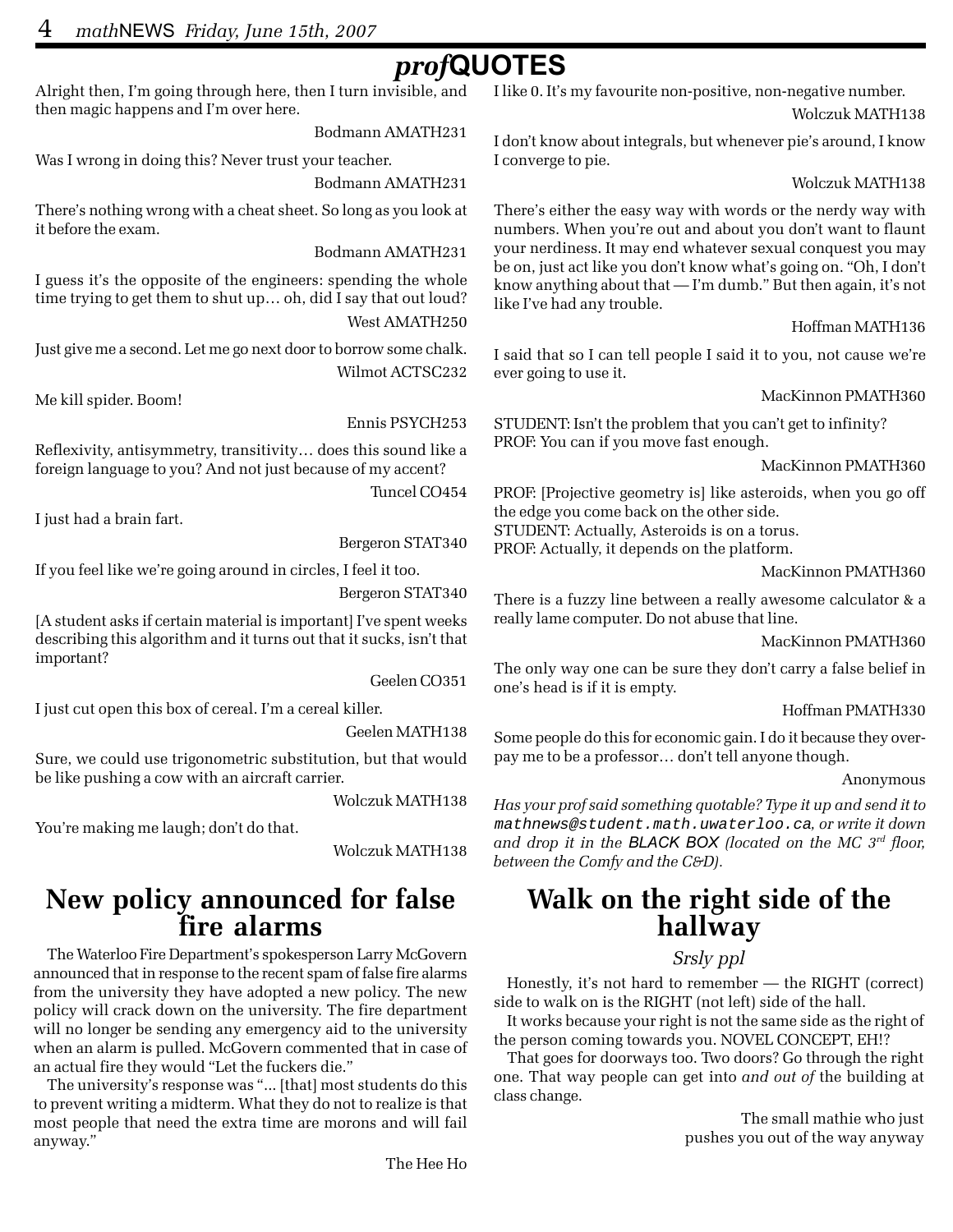# *prof***QUOTES**

Alright then, I'm going through here, then I turn invisible, and then magic happens and I'm over here.

Bodmann AMATH231

Was I wrong in doing this? Never trust your teacher.

Bodmann AMATH231

There's nothing wrong with a cheat sheet. So long as you look at it before the exam.

Bodmann AMATH231

I guess it's the opposite of the engineers: spending the whole time trying to get them to shut up… oh, did I say that out loud? West AMATH250

Just give me a second. Let me go next door to borrow some chalk. Wilmot ACTSC232

Me kill spider. Boom!

Ennis PSYCH253

Reflexivity, antisymmetry, transitivity… does this sound like a foreign language to you? And not just because of my accent?

Tuncel CO454

I just had a brain fart.

Bergeron STAT340

If you feel like we're going around in circles, I feel it too.

Bergeron STAT340

[A student asks if certain material is important] I've spent weeks describing this algorithm and it turns out that it sucks, isn't that important?

Geelen CO351

I just cut open this box of cereal. I'm a cereal killer.

Geelen MATH138

Sure, we could use trigonometric substitution, but that would be like pushing a cow with an aircraft carrier.

Wolczuk MATH138

You're making me laugh; don't do that.

Wolczuk MATH138

# **New policy announced for false fire alarms**

The Waterloo Fire Department's spokesperson Larry McGovern announced that in response to the recent spam of false fire alarms from the university they have adopted a new policy. The new policy will crack down on the university. The fire department will no longer be sending any emergency aid to the university when an alarm is pulled. McGovern commented that in case of an actual fire they would "Let the fuckers die."

The university's response was "... [that] most students do this to prevent writing a midterm. What they do not to realize is that most people that need the extra time are morons and will fail anyway."

I like 0. It's my favourite non-positive, non-negative number.

Wolczuk MATH138

I don't know about integrals, but whenever pie's around, I know I converge to pie.

#### Wolczuk MATH138

There's either the easy way with words or the nerdy way with numbers. When you're out and about you don't want to flaunt your nerdiness. It may end whatever sexual conquest you may be on, just act like you don't know what's going on. "Oh, I don't know anything about that — I'm dumb." But then again, it's not like I've had any trouble.

#### Hoffman MATH136

I said that so I can tell people I said it to you, not cause we're ever going to use it.

MacKinnon PMATH360

STUDENT: Isn't the problem that you can't get to infinity? PROF: You can if you move fast enough.

MacKinnon PMATH360

PROF: [Projective geometry is] like asteroids, when you go off the edge you come back on the other side. STUDENT: Actually, Asteroids is on a torus. PROF: Actually, it depends on the platform.

MacKinnon PMATH360

There is a fuzzy line between a really awesome calculator & a really lame computer. Do not abuse that line.

MacKinnon PMATH360

The only way one can be sure they don't carry a false belief in one's head is if it is empty.

#### Hoffman PMATH330

Some people do this for economic gain. I do it because they overpay me to be a professor… don't tell anyone though.

Anonymous

*Has your prof said something quotable? Type it up and send it to* mathnews@student.math.uwaterloo.ca*, or write it down and drop it in the BLACK BOX (located on the MC 3rd floor, between the Comfy and the C&D).*

# **Walk on the right side of the hallway**

## *Srsly ppl*

Honestly, it's not hard to remember — the RIGHT (correct) side to walk on is the RIGHT (not left) side of the hall.

It works because your right is not the same side as the right of the person coming towards you. NOVEL CONCEPT, EH!?

That goes for doorways too. Two doors? Go through the right one. That way people can get into *and out of* the building at class change.

> The small mathie who just pushes you out of the way anyway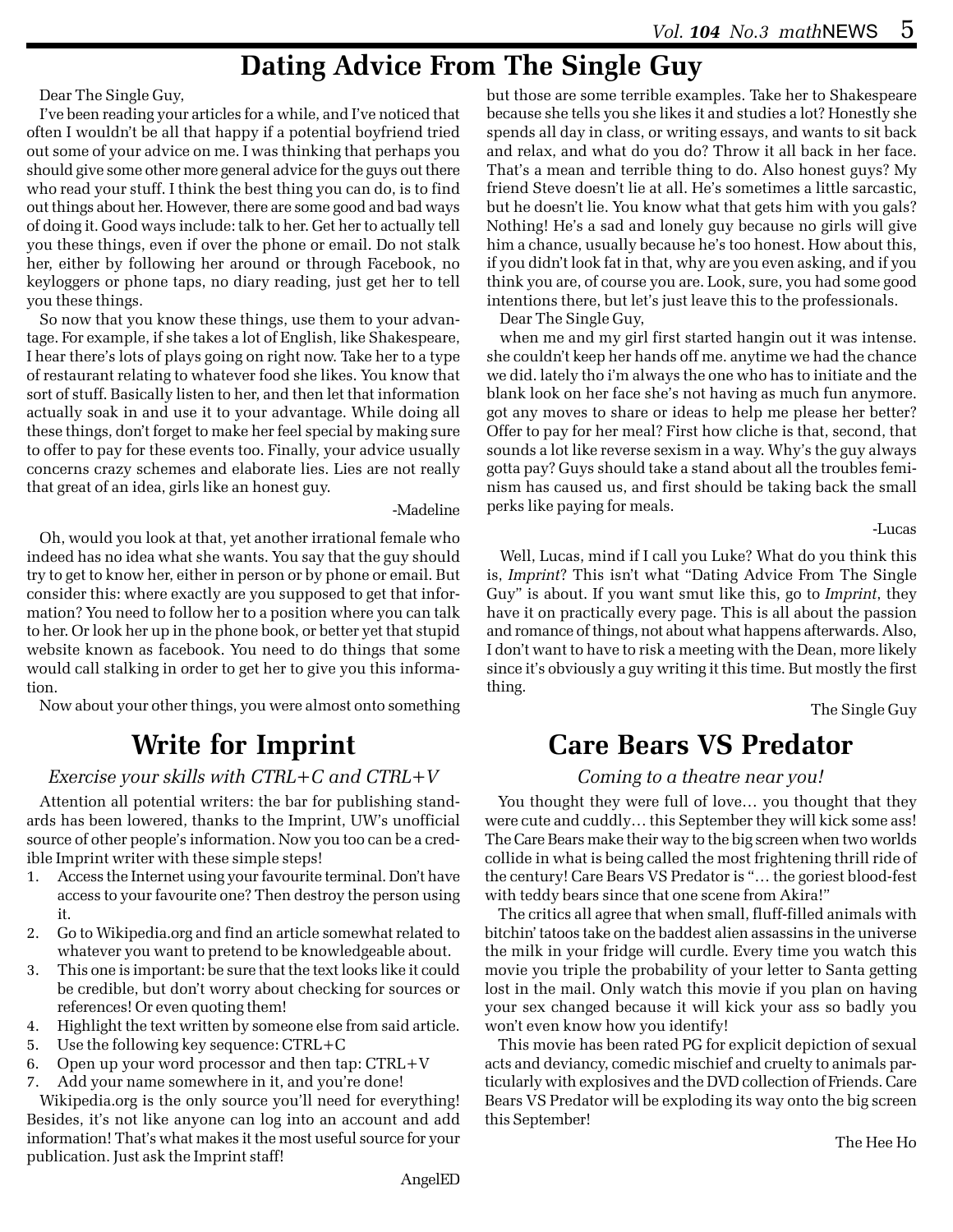## **Dating Advice From The Single Guy**

Dear The Single Guy,

I've been reading your articles for a while, and I've noticed that often I wouldn't be all that happy if a potential boyfriend tried out some of your advice on me. I was thinking that perhaps you should give some other more general advice for the guys out there who read your stuff. I think the best thing you can do, is to find out things about her. However, there are some good and bad ways of doing it. Good ways include: talk to her. Get her to actually tell you these things, even if over the phone or email. Do not stalk her, either by following her around or through Facebook, no keyloggers or phone taps, no diary reading, just get her to tell you these things.

So now that you know these things, use them to your advantage. For example, if she takes a lot of English, like Shakespeare, I hear there's lots of plays going on right now. Take her to a type of restaurant relating to whatever food she likes. You know that sort of stuff. Basically listen to her, and then let that information actually soak in and use it to your advantage. While doing all these things, don't forget to make her feel special by making sure to offer to pay for these events too. Finally, your advice usually concerns crazy schemes and elaborate lies. Lies are not really that great of an idea, girls like an honest guy.

-Madeline

Oh, would you look at that, yet another irrational female who indeed has no idea what she wants. You say that the guy should try to get to know her, either in person or by phone or email. But consider this: where exactly are you supposed to get that information? You need to follow her to a position where you can talk to her. Or look her up in the phone book, or better yet that stupid website known as facebook. You need to do things that some would call stalking in order to get her to give you this information.

Now about your other things, you were almost onto something

# **Write for Imprint**

### *Exercise your skills with CTRL+C and CTRL+V*

Attention all potential writers: the bar for publishing standards has been lowered, thanks to the Imprint, UW's unofficial source of other people's information. Now you too can be a credible Imprint writer with these simple steps!

- 1. Access the Internet using your favourite terminal. Don't have access to your favourite one? Then destroy the person using it.
- 2. Go to Wikipedia.org and find an article somewhat related to whatever you want to pretend to be knowledgeable about.
- 3. This one is important: be sure that the text looks like it could be credible, but don't worry about checking for sources or references! Or even quoting them!
- 4. Highlight the text written by someone else from said article.
- 5. Use the following key sequence: CTRL+C
- 6. Open up your word processor and then tap: CTRL+V
- 7. Add your name somewhere in it, and you're done!

Wikipedia.org is the only source you'll need for everything! Besides, it's not like anyone can log into an account and add information! That's what makes it the most useful source for your publication. Just ask the Imprint staff!

but those are some terrible examples. Take her to Shakespeare because she tells you she likes it and studies a lot? Honestly she spends all day in class, or writing essays, and wants to sit back and relax, and what do you do? Throw it all back in her face. That's a mean and terrible thing to do. Also honest guys? My friend Steve doesn't lie at all. He's sometimes a little sarcastic, but he doesn't lie. You know what that gets him with you gals? Nothing! He's a sad and lonely guy because no girls will give him a chance, usually because he's too honest. How about this, if you didn't look fat in that, why are you even asking, and if you think you are, of course you are. Look, sure, you had some good intentions there, but let's just leave this to the professionals.

Dear The Single Guy,

when me and my girl first started hangin out it was intense. she couldn't keep her hands off me. anytime we had the chance we did. lately tho i'm always the one who has to initiate and the blank look on her face she's not having as much fun anymore. got any moves to share or ideas to help me please her better? Offer to pay for her meal? First how cliche is that, second, that sounds a lot like reverse sexism in a way. Why's the guy always gotta pay? Guys should take a stand about all the troubles feminism has caused us, and first should be taking back the small perks like paying for meals.

-Lucas

Well, Lucas, mind if I call you Luke? What do you think this is, *Imprint*? This isn't what "Dating Advice From The Single Guy" is about. If you want smut like this, go to *Imprint*, they have it on practically every page. This is all about the passion and romance of things, not about what happens afterwards. Also, I don't want to have to risk a meeting with the Dean, more likely since it's obviously a guy writing it this time. But mostly the first thing.

The Single Guy

## **Care Bears VS Predator**

### *Coming to a theatre near you!*

You thought they were full of love… you thought that they were cute and cuddly… this September they will kick some ass! The Care Bears make their way to the big screen when two worlds collide in what is being called the most frightening thrill ride of the century! Care Bears VS Predator is "… the goriest blood-fest with teddy bears since that one scene from Akira!"

The critics all agree that when small, fluff-filled animals with bitchin' tatoos take on the baddest alien assassins in the universe the milk in your fridge will curdle. Every time you watch this movie you triple the probability of your letter to Santa getting lost in the mail. Only watch this movie if you plan on having your sex changed because it will kick your ass so badly you won't even know how you identify!

This movie has been rated PG for explicit depiction of sexual acts and deviancy, comedic mischief and cruelty to animals particularly with explosives and the DVD collection of Friends. Care Bears VS Predator will be exploding its way onto the big screen this September!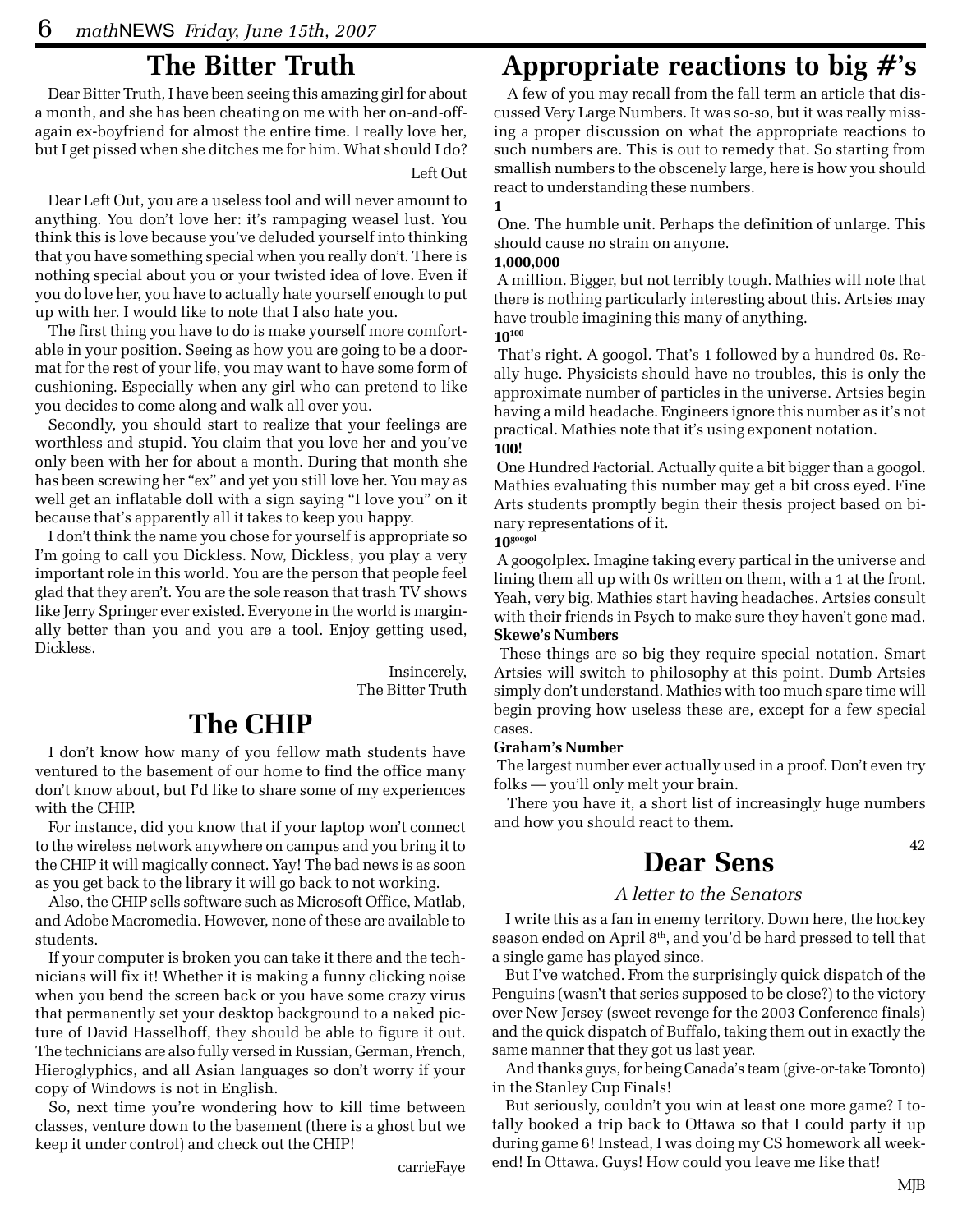## **The Bitter Truth**

Dear Bitter Truth, I have been seeing this amazing girl for about a month, and she has been cheating on me with her on-and-offagain ex-boyfriend for almost the entire time. I really love her, but I get pissed when she ditches me for him. What should I do? Left Out

Dear Left Out, you are a useless tool and will never amount to anything. You don't love her: it's rampaging weasel lust. You think this is love because you've deluded yourself into thinking that you have something special when you really don't. There is nothing special about you or your twisted idea of love. Even if you do love her, you have to actually hate yourself enough to put up with her. I would like to note that I also hate you.

The first thing you have to do is make yourself more comfortable in your position. Seeing as how you are going to be a doormat for the rest of your life, you may want to have some form of cushioning. Especially when any girl who can pretend to like you decides to come along and walk all over you.

Secondly, you should start to realize that your feelings are worthless and stupid. You claim that you love her and you've only been with her for about a month. During that month she has been screwing her "ex" and yet you still love her. You may as well get an inflatable doll with a sign saying "I love you" on it because that's apparently all it takes to keep you happy.

I don't think the name you chose for yourself is appropriate so I'm going to call you Dickless. Now, Dickless, you play a very important role in this world. You are the person that people feel glad that they aren't. You are the sole reason that trash TV shows like Jerry Springer ever existed. Everyone in the world is marginally better than you and you are a tool. Enjoy getting used, Dickless.

> Insincerely, The Bitter Truth

# **The CHIP**

I don't know how many of you fellow math students have ventured to the basement of our home to find the office many don't know about, but I'd like to share some of my experiences with the CHIP.

For instance, did you know that if your laptop won't connect to the wireless network anywhere on campus and you bring it to the CHIP it will magically connect. Yay! The bad news is as soon as you get back to the library it will go back to not working.

Also, the CHIP sells software such as Microsoft Office, Matlab, and Adobe Macromedia. However, none of these are available to students.

If your computer is broken you can take it there and the technicians will fix it! Whether it is making a funny clicking noise when you bend the screen back or you have some crazy virus that permanently set your desktop background to a naked picture of David Hasselhoff, they should be able to figure it out. The technicians are also fully versed in Russian, German, French, Hieroglyphics, and all Asian languages so don't worry if your copy of Windows is not in English.

So, next time you're wondering how to kill time between classes, venture down to the basement (there is a ghost but we keep it under control) and check out the CHIP!

# **Appropriate reactions to big #'s**

A few of you may recall from the fall term an article that discussed Very Large Numbers. It was so-so, but it was really missing a proper discussion on what the appropriate reactions to such numbers are. This is out to remedy that. So starting from smallish numbers to the obscenely large, here is how you should react to understanding these numbers.

#### **1**

 One. The humble unit. Perhaps the definition of unlarge. This should cause no strain on anyone.

#### **1,000,000**

 A million. Bigger, but not terribly tough. Mathies will note that there is nothing particularly interesting about this. Artsies may have trouble imagining this many of anything. **10100**

 That's right. A googol. That's 1 followed by a hundred 0s. Really huge. Physicists should have no troubles, this is only the approximate number of particles in the universe. Artsies begin having a mild headache. Engineers ignore this number as it's not practical. Mathies note that it's using exponent notation. **100!**

 One Hundred Factorial. Actually quite a bit bigger than a googol. Mathies evaluating this number may get a bit cross eyed. Fine Arts students promptly begin their thesis project based on binary representations of it.

### **10googol**

 A googolplex. Imagine taking every partical in the universe and lining them all up with 0s written on them, with a 1 at the front. Yeah, very big. Mathies start having headaches. Artsies consult with their friends in Psych to make sure they haven't gone mad. **Skewe's Numbers**

 These things are so big they require special notation. Smart Artsies will switch to philosophy at this point. Dumb Artsies simply don't understand. Mathies with too much spare time will begin proving how useless these are, except for a few special cases.

#### **Graham's Number**

 The largest number ever actually used in a proof. Don't even try folks — you'll only melt your brain.

There you have it, a short list of increasingly huge numbers and how you should react to them.

## **Dear Sens**

## *A letter to the Senators*

I write this as a fan in enemy territory. Down here, the hockey season ended on April 8<sup>th</sup>, and you'd be hard pressed to tell that a single game has played since.

But I've watched. From the surprisingly quick dispatch of the Penguins (wasn't that series supposed to be close?) to the victory over New Jersey (sweet revenge for the 2003 Conference finals) and the quick dispatch of Buffalo, taking them out in exactly the same manner that they got us last year.

And thanks guys, for being Canada's team (give-or-take Toronto) in the Stanley Cup Finals!

But seriously, couldn't you win at least one more game? I totally booked a trip back to Ottawa so that I could party it up during game 6! Instead, I was doing my CS homework all weekend! In Ottawa. Guys! How could you leave me like that!

42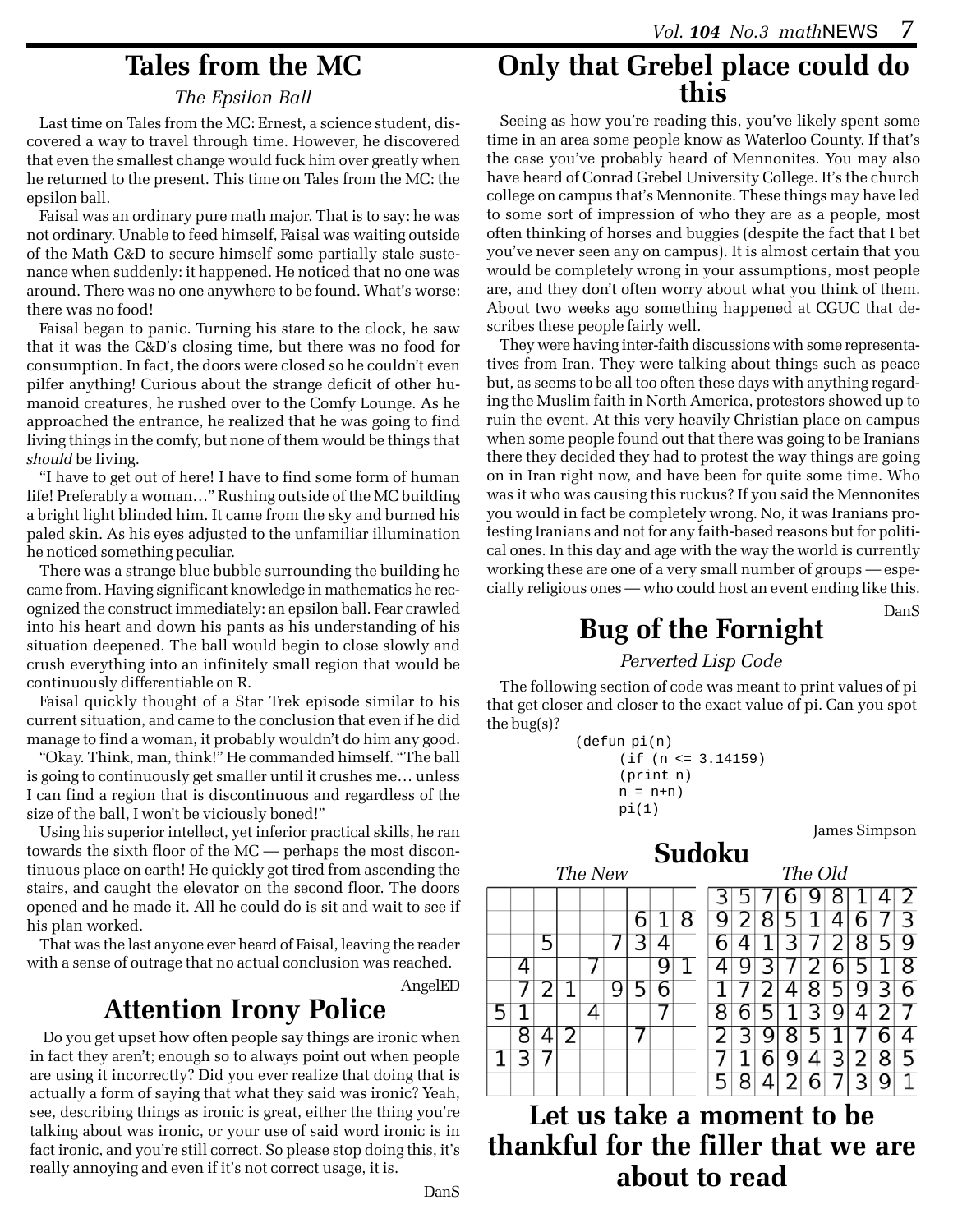## **Tales from the MC**

### *The Epsilon Ball*

Last time on Tales from the MC: Ernest, a science student, discovered a way to travel through time. However, he discovered that even the smallest change would fuck him over greatly when he returned to the present. This time on Tales from the MC: the epsilon ball.

Faisal was an ordinary pure math major. That is to say: he was not ordinary. Unable to feed himself, Faisal was waiting outside of the Math C&D to secure himself some partially stale sustenance when suddenly: it happened. He noticed that no one was around. There was no one anywhere to be found. What's worse: there was no food!

Faisal began to panic. Turning his stare to the clock, he saw that it was the C&D's closing time, but there was no food for consumption. In fact, the doors were closed so he couldn't even pilfer anything! Curious about the strange deficit of other humanoid creatures, he rushed over to the Comfy Lounge. As he approached the entrance, he realized that he was going to find living things in the comfy, but none of them would be things that *should* be living.

"I have to get out of here! I have to find some form of human life! Preferably a woman…" Rushing outside of the MC building a bright light blinded him. It came from the sky and burned his paled skin. As his eyes adjusted to the unfamiliar illumination he noticed something peculiar.

There was a strange blue bubble surrounding the building he came from. Having significant knowledge in mathematics he recognized the construct immediately: an epsilon ball. Fear crawled into his heart and down his pants as his understanding of his situation deepened. The ball would begin to close slowly and crush everything into an infinitely small region that would be continuously differentiable on R.

Faisal quickly thought of a Star Trek episode similar to his current situation, and came to the conclusion that even if he did manage to find a woman, it probably wouldn't do him any good.

"Okay. Think, man, think!" He commanded himself. "The ball is going to continuously get smaller until it crushes me… unless I can find a region that is discontinuous and regardless of the size of the ball, I won't be viciously boned!"

Using his superior intellect, yet inferior practical skills, he ran towards the sixth floor of the MC — perhaps the most discontinuous place on earth! He quickly got tired from ascending the stairs, and caught the elevator on the second floor. The doors opened and he made it. All he could do is sit and wait to see if his plan worked.

That was the last anyone ever heard of Faisal, leaving the reader with a sense of outrage that no actual conclusion was reached.

AngelED

## **Attention Irony Police**

Do you get upset how often people say things are ironic when in fact they aren't; enough so to always point out when people are using it incorrectly? Did you ever realize that doing that is actually a form of saying that what they said was ironic? Yeah, see, describing things as ironic is great, either the thing you're talking about was ironic, or your use of said word ironic is in fact ironic, and you're still correct. So please stop doing this, it's really annoying and even if it's not correct usage, it is.

# **Only that Grebel place could do this**

Seeing as how you're reading this, you've likely spent some time in an area some people know as Waterloo County. If that's the case you've probably heard of Mennonites. You may also have heard of Conrad Grebel University College. It's the church college on campus that's Mennonite. These things may have led to some sort of impression of who they are as a people, most often thinking of horses and buggies (despite the fact that I bet you've never seen any on campus). It is almost certain that you would be completely wrong in your assumptions, most people are, and they don't often worry about what you think of them. About two weeks ago something happened at CGUC that describes these people fairly well.

They were having inter-faith discussions with some representatives from Iran. They were talking about things such as peace but, as seems to be all too often these days with anything regarding the Muslim faith in North America, protestors showed up to ruin the event. At this very heavily Christian place on campus when some people found out that there was going to be Iranians there they decided they had to protest the way things are going on in Iran right now, and have been for quite some time. Who was it who was causing this ruckus? If you said the Mennonites you would in fact be completely wrong. No, it was Iranians protesting Iranians and not for any faith-based reasons but for political ones. In this day and age with the way the world is currently working these are one of a very small number of groups — especially religious ones — who could host an event ending like this.

DanS

# **Bug of the Fornight**

*Perverted Lisp Code*

The following section of code was meant to print values of pi that get closer and closer to the exact value of pi. Can you spot the bug(s)?

```
(defun pi(n)
(if (n <= 3.14159)
(print n)
n = n+npi(1)
```
James Simpson

## **Sudoku**

| The New |  |   |  |  |   |   |  | The Old |  |  |  |   |   |                |   |   |   |
|---------|--|---|--|--|---|---|--|---------|--|--|--|---|---|----------------|---|---|---|
|         |  |   |  |  |   |   |  |         |  |  |  |   |   |                |   |   | 2 |
|         |  |   |  |  |   | 6 |  | 8       |  |  |  |   |   |                | ნ |   | 3 |
|         |  | 5 |  |  |   |   |  |         |  |  |  |   | 7 | $\overline{2}$ | 8 | 5 | 9 |
|         |  |   |  |  |   |   |  |         |  |  |  |   |   |                |   |   | 8 |
|         |  |   |  |  | g |   |  |         |  |  |  |   | 8 | 5              | 9 | っ | б |
|         |  |   |  |  |   |   |  |         |  |  |  | 1 | 3 | 9              |   |   |   |
|         |  |   |  |  |   |   |  |         |  |  |  |   |   |                |   |   |   |
|         |  |   |  |  |   |   |  |         |  |  |  |   |   |                |   | 8 | ל |
|         |  |   |  |  |   |   |  |         |  |  |  |   |   |                |   |   |   |

**Let us take a moment to be thankful for the filler that we are about to read**